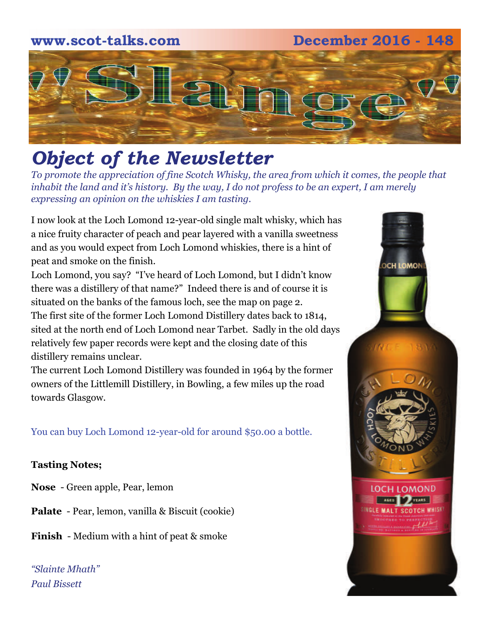## **www.scot-talks.com December 2016 - 148** [2]

### *Object of the Newsletter*

*To promote the appreciation of fine Scotch Whisky, the area from which it comes, the people that inhabit the land and it's history. By the way, I do not profess to be an expert, I am merely expressing an opinion on the whiskies I am tasting.* 

I now look at the Loch Lomond 12-year-old single malt whisky, which has a nice fruity character of peach and pear layered with a vanilla sweetness and as you would expect from Loch Lomond whiskies, there is a hint of peat and smoke on the finish.

Loch Lomond, you say? "I've heard of Loch Lomond, but I didn't know there was a distillery of that name?" Indeed there is and of course it is situated on the banks of the famous loch, see the map on page 2. The first site of the former Loch Lomond Distillery dates back to 1814, sited at the north end of Loch Lomond near Tarbet. Sadly in the old days relatively few paper records were kept and the closing date of this distillery remains unclear.

The current Loch Lomond Distillery was founded in 1964 by the former owners of the Littlemill Distillery, in Bowling, a few miles up the road towards Glasgow.

You can buy Loch Lomond 12-year-old for around \$50.00 a bottle.

#### **Tasting Notes;**

- **Nose**  Green apple, Pear, lemon
- **Palate**  Pear, lemon, vanilla & Biscuit (cookie)
- **Finish**  Medium with a hint of peat & smoke

*"Slainte Mhath" Paul Bissett*

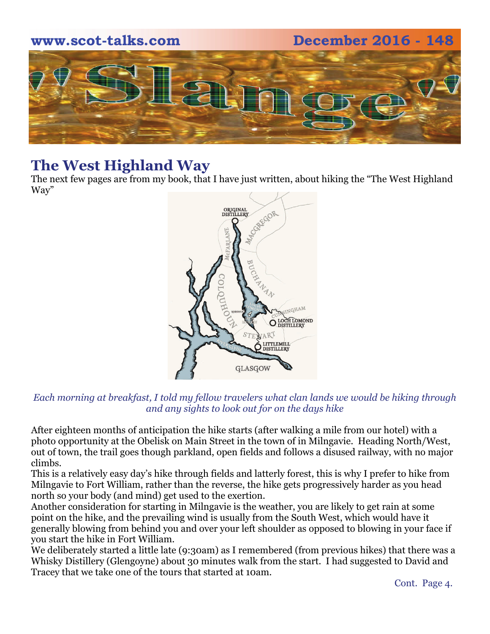

#### **The West Highland Way**

The next few pages are from my book, that I have just written, about hiking the "The West Highland Way"



#### *Each morning at breakfast, I told my fellow travelers what clan lands we would be hiking through and any sights to look out for on the days hike*

After eighteen months of anticipation the hike starts (after walking a mile from our hotel) with a photo opportunity at the Obelisk on Main Street in the town of in Milngavie. Heading North/West, out of town, the trail goes though parkland, open fields and follows a disused railway, with no major climbs.

This is a relatively easy day's hike through fields and latterly forest, this is why I prefer to hike from Milngavie to Fort William, rather than the reverse, the hike gets progressively harder as you head north so your body (and mind) get used to the exertion.

Another consideration for starting in Milngavie is the weather, you are likely to get rain at some point on the hike, and the prevailing wind is usually from the South West, which would have it generally blowing from behind you and over your left shoulder as opposed to blowing in your face if you start the hike in Fort William.

We deliberately started a little late (9:30am) as I remembered (from previous hikes) that there was a Whisky Distillery (Glengoyne) about 30 minutes walk from the start. I had suggested to David and Tracey that we take one of the tours that started at 10am.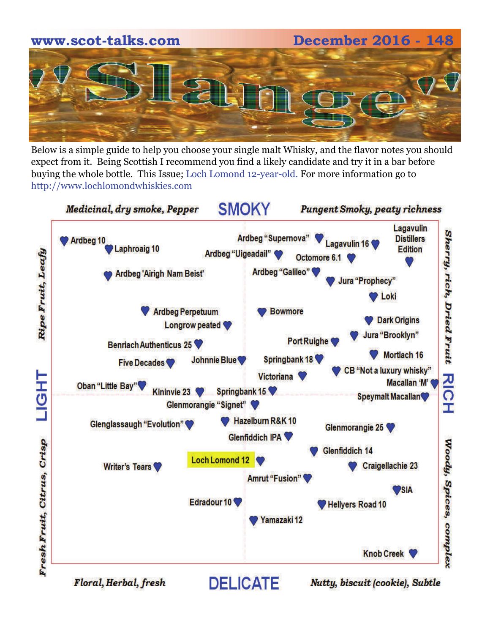# **www.scot-talks.com December 2016 - 148**

Below is a simple guide to help you choose your single malt Whisky, and the flavor notes you should expect from it. Being Scottish I recommend you find a likely candidate and try it in a bar before buying the whole bottle. This Issue; Loch Lomond 12-year-old. For more information go to http://www.lochlomondwhiskies.com



Floral, Herbal, fresh

Nutty, biscuit (cookie), Subtle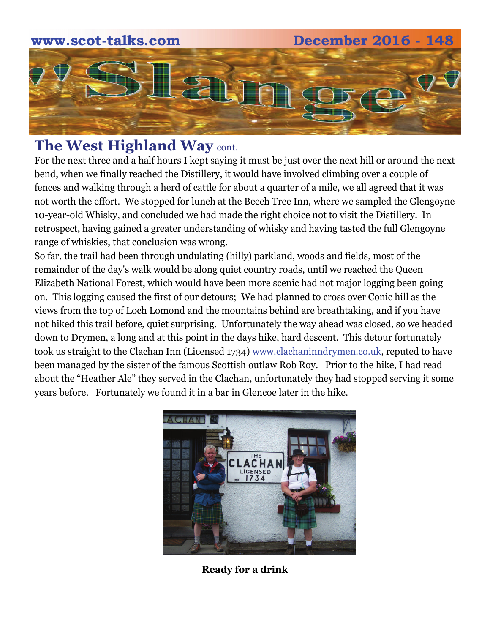

#### **The West Highland Way** cont.

For the next three and a half hours I kept saying it must be just over the next hill or around the next bend, when we finally reached the Distillery, it would have involved climbing over a couple of fences and walking through a herd of cattle for about a quarter of a mile, we all agreed that it was not worth the effort. We stopped for lunch at the Beech Tree Inn, where we sampled the Glengoyne 10-year-old Whisky, and concluded we had made the right choice not to visit the Distillery. In retrospect, having gained a greater understanding of whisky and having tasted the full Glengoyne range of whiskies, that conclusion was wrong.

So far, the trail had been through undulating (hilly) parkland, woods and fields, most of the remainder of the day's walk would be along quiet country roads, until we reached the Queen Elizabeth National Forest, which would have been more scenic had not major logging been going on. This logging caused the first of our detours; We had planned to cross over Conic hill as the views from the top of Loch Lomond and the mountains behind are breathtaking, and if you have not hiked this trail before, quiet surprising. Unfortunately the way ahead was closed, so we headed down to Drymen, a long and at this point in the days hike, hard descent. This detour fortunately took us straight to the Clachan Inn (Licensed 1734) www.clachaninndrymen.co.uk, reputed to have been managed by the sister of the famous Scottish outlaw Rob Roy. Prior to the hike, I had read about the "Heather Ale" they served in the Clachan, unfortunately they had stopped serving it some years before. Fortunately we found it in a bar in Glencoe later in the hike.



**Ready for a drink**